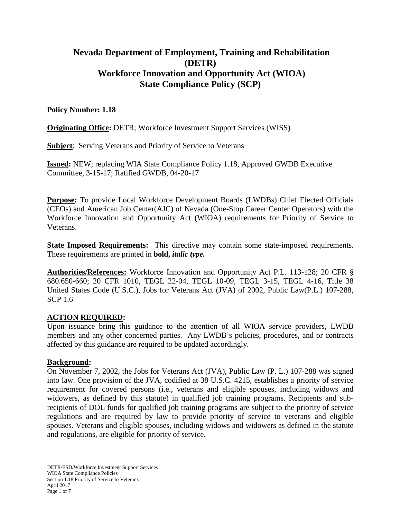# **Nevada Department of Employment, Training and Rehabilitation (DETR) Workforce Innovation and Opportunity Act (WIOA) State Compliance Policy (SCP)**

## **Policy Number: 1.18**

**Originating Office:** DETR; Workforce Investment Support Services (WISS)

**Subject**: Serving Veterans and Priority of Service to Veterans

**Issued:** NEW; replacing WIA State Compliance Policy 1.18, Approved GWDB Executive Committee, 3-15-17; Ratified GWDB, 04-20-17

**Purpose:** To provide Local Workforce Development Boards (LWDBs) Chief Elected Officials (CEOs) and American Job Center(AJC) of Nevada (One-Stop Career Center Operators) with the Workforce Innovation and Opportunity Act (WIOA) requirements for Priority of Service to Veterans.

**State Imposed Requirements:** This directive may contain some state-imposed requirements. These requirements are printed in **bold,** *italic type.*

**Authorities/References:** Workforce Innovation and Opportunity Act P.L. 113-128; 20 CFR § 680.650-660; 20 CFR 1010, TEGL 22-04, TEGL 10-09, TEGL 3-15, TEGL 4-16, Title 38 United States Code (U.S.C.), Jobs for Veterans Act (JVA) of 2002, Public Law(P.L.) 107-288, SCP 1.6

## **ACTION REQUIRED:**

Upon issuance bring this guidance to the attention of all WIOA service providers, LWDB members and any other concerned parties. Any LWDB's policies, procedures, and or contracts affected by this guidance are required to be updated accordingly.

## **Background:**

On November 7, 2002, the Jobs for Veterans Act (JVA), Public Law (P. L.) 107-288 was signed into law. One provision of the JVA, codified at 38 U.S.C. 4215, establishes a priority of service requirement for covered persons (i.e., veterans and eligible spouses, including widows and widowers, as defined by this statute) in qualified job training programs. Recipients and subrecipients of DOL funds for qualified job training programs are subject to the priority of service regulations and are required by law to provide priority of service to veterans and eligible spouses. Veterans and eligible spouses, including widows and widowers as defined in the statute and regulations, are eligible for priority of service.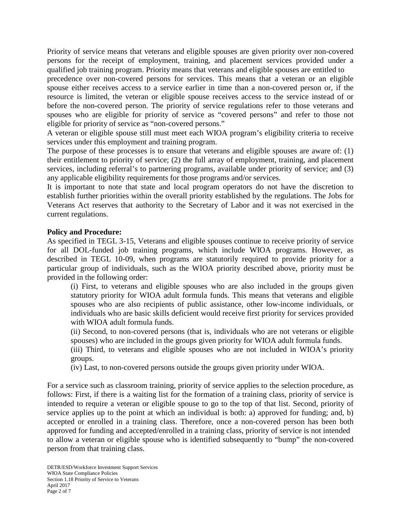Priority of service means that veterans and eligible spouses are given priority over non-covered persons for the receipt of employment, training, and placement services provided under a qualified job training program. Priority means that veterans and eligible spouses are entitled to

precedence over non-covered persons for services. This means that a veteran or an eligible spouse either receives access to a service earlier in time than a non-covered person or, if the resource is limited, the veteran or eligible spouse receives access to the service instead of or before the non-covered person. The priority of service regulations refer to those veterans and spouses who are eligible for priority of service as "covered persons" and refer to those not eligible for priority of service as "non-covered persons."

A veteran or eligible spouse still must meet each WIOA program's eligibility criteria to receive services under this employment and training program.

The purpose of these processes is to ensure that veterans and eligible spouses are aware of: (1) their entitlement to priority of service; (2) the full array of employment, training, and placement services, including referral's to partnering programs, available under priority of service; and (3) any applicable eligibility requirements for those programs and/or services.

It is important to note that state and local program operators do not have the discretion to establish further priorities within the overall priority established by the regulations. The Jobs for Veterans Act reserves that authority to the Secretary of Labor and it was not exercised in the current regulations.

#### **Policy and Procedure:**

As specified in TEGL 3-15, Veterans and eligible spouses continue to receive priority of service for all DOL-funded job training programs, which include WIOA programs. However, as described in TEGL 10-09, when programs are statutorily required to provide priority for a particular group of individuals, such as the WIOA priority described above, priority must be provided in the following order:

(i) First, to veterans and eligible spouses who are also included in the groups given statutory priority for WIOA adult formula funds. This means that veterans and eligible spouses who are also recipients of public assistance, other low-income individuals, or individuals who are basic skills deficient would receive first priority for services provided with WIOA adult formula funds.

(ii) Second, to non-covered persons (that is, individuals who are not veterans or eligible spouses) who are included in the groups given priority for WIOA adult formula funds.

(iii) Third, to veterans and eligible spouses who are not included in WIOA's priority groups.

(iv) Last, to non-covered persons outside the groups given priority under WIOA.

For a service such as classroom training, priority of service applies to the selection procedure, as follows: First, if there is a waiting list for the formation of a training class, priority of service is intended to require a veteran or eligible spouse to go to the top of that list. Second, priority of service applies up to the point at which an individual is both: a) approved for funding; and, b) accepted or enrolled in a training class. Therefore, once a non-covered person has been both approved for funding and accepted/enrolled in a training class, priority of service is not intended to allow a veteran or eligible spouse who is identified subsequently to "bump" the non-covered person from that training class.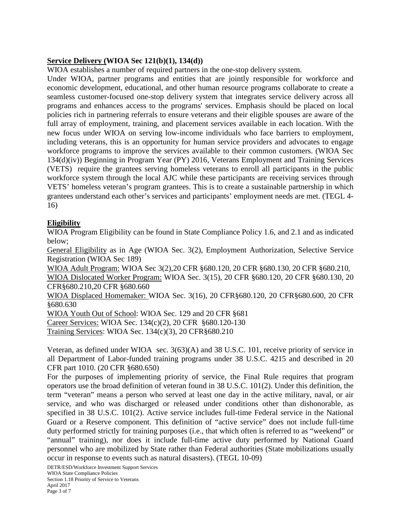#### **Service Delivery (WIOA Sec 121(b)(1), 134(d))**

WIOA establishes a number of required partners in the one-stop delivery system.

Under WIOA, partner programs and entities that are jointly responsible for workforce and economic development, educational, and other human resource programs collaborate to create a seamless customer-focused one-stop delivery system that integrates service delivery across all programs and enhances access to the programs' services. Emphasis should be placed on local policies rich in partnering referrals to ensure veterans and their eligible spouses are aware of the full array of employment, training, and placement services available in each location. With the new focus under WIOA on serving low-income individuals who face barriers to employment, including veterans, this is an opportunity for human service providers and advocates to engage workforce programs to improve the services available to their common customers. (WIOA Sec 134(d)(iv)) Beginning in Program Year (PY) 2016, Veterans Employment and Training Services (VETS) require the grantees serving homeless veterans to enroll all participants in the public workforce system through the local AJC while these participants are receiving services through VETS' homeless veteran's program grantees. This is to create a sustainable partnership in which grantees understand each other's services and participants' employment needs are met. (TEGL 4- 16)

#### **Eligibility**

WIOA Program Eligibility can be found in State Compliance Policy 1.6, and 2.1 and as indicated below;

General Eligibility as in Age (WIOA Sec. 3(2), Employment Authorization, Selective Service Registration (WIOA Sec 189)

WIOA Adult Program: WIOA Sec 3(2),20 CFR §680.120, 20 CFR §680.130, 20 CFR §680.210, WIOA Dislocated Worker Program: WIOA Sec. 3(15), 20 CFR §680.120, 20 CFR §680.130, 20 CFR§680.210,20 CFR §680.660

WIOA Displaced Homemaker: WIOA Sec. 3(16), 20 CFR§680.120, 20 CFR§680.600, 20 CFR §680.630

WIOA Youth Out of School: WIOA Sec. 129 and 20 CFR §681

Career Services: WIOA Sec. 134(c)(2), 20 CFR §680.120-130

Training Services: WIOA Sec. 134(c)(3), 20 CFR§680.210

Veteran, as defined under WIOA sec. 3(63)(A) and 38 U.S.C. 101, receive priority of service in all Department of Labor-funded training programs under 38 U.S.C. 4215 and described in 20 CFR part 1010. (20 CFR §680.650)

For the purposes of implementing priority of service, the Final Rule requires that program operators use the broad definition of veteran found in 38 U.S.C. 101(2). Under this definition, the term "veteran" means a person who served at least one day in the active military, naval, or air service, and who was discharged or released under conditions other than dishonorable, as specified in 38 U.S.C. 101(2). Active service includes full-time Federal service in the National Guard or a Reserve component. This definition of "active service" does not include full-time duty performed strictly for training purposes (i.e., that which often is referred to as "weekend" or "annual" training), nor does it include full-time active duty performed by National Guard personnel who are mobilized by State rather than Federal authorities (State mobilizations usually occur in response to events such as natural disasters). (TEGL 10-09)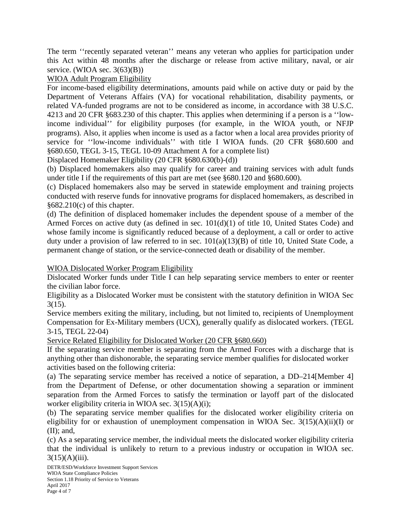The term ''recently separated veteran'' means any veteran who applies for participation under this Act within 48 months after the discharge or release from active military, naval, or air service. (WIOA sec.  $3(63)(B)$ )

# WIOA Adult Program Eligibility

For income-based eligibility determinations, amounts paid while on active duty or paid by the Department of Veterans Affairs (VA) for vocational rehabilitation, disability payments, or related VA-funded programs are not to be considered as income, in accordance with 38 U.S.C. 4213 and 20 CFR §683.230 of this chapter. This applies when determining if a person is a ''lowincome individual'' for eligibility purposes (for example, in the WIOA youth, or NFJP programs). Also, it applies when income is used as a factor when a local area provides priority of service for ''low-income individuals'' with title I WIOA funds. (20 CFR §680.600 and §680.650, TEGL 3-15, TEGL 10-09 Attachment A for a complete list)

Displaced Homemaker Eligibility (20 CFR §680.630(b)-(d))

(b) Displaced homemakers also may qualify for career and training services with adult funds under title I if the requirements of this part are met (see §680.120 and §680.600).

(c) Displaced homemakers also may be served in statewide employment and training projects conducted with reserve funds for innovative programs for displaced homemakers, as described in  $§682.210(c)$  of this chapter.

(d) The definition of displaced homemaker includes the dependent spouse of a member of the Armed Forces on active duty (as defined in sec. 101(d)(1) of title 10, United States Code) and whose family income is significantly reduced because of a deployment, a call or order to active duty under a provision of law referred to in sec. 101(a)(13)(B) of title 10, United State Code, a permanent change of station, or the service-connected death or disability of the member.

WIOA Dislocated Worker Program Eligibility

Dislocated Worker funds under Title I can help separating service members to enter or reenter the civilian labor force.

Eligibility as a Dislocated Worker must be consistent with the statutory definition in WIOA Sec 3(15).

Service members exiting the military, including, but not limited to, recipients of Unemployment Compensation for Ex-Military members (UCX), generally qualify as dislocated workers. (TEGL 3-15, TEGL 22-04)

Service Related Eligibility for Dislocated Worker (20 CFR §680.660)

If the separating service member is separating from the Armed Forces with a discharge that is anything other than dishonorable, the separating service member qualifies for dislocated worker activities based on the following criteria:

(a) The separating service member has received a notice of separation, a DD–214[Member 4] from the Department of Defense, or other documentation showing a separation or imminent separation from the Armed Forces to satisfy the termination or layoff part of the dislocated worker eligibility criteria in WIOA sec.  $3(15)(A)(i)$ ;

(b) The separating service member qualifies for the dislocated worker eligibility criteria on eligibility for or exhaustion of unemployment compensation in WIOA Sec.  $3(15)(A)(ii)(I)$  or  $(II)$ ; and,

(c) As a separating service member, the individual meets the dislocated worker eligibility criteria that the individual is unlikely to return to a previous industry or occupation in WIOA sec.  $3(15)(A)(iii)$ .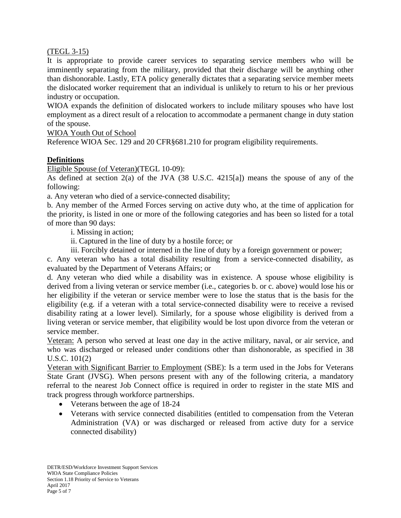#### (TEGL 3-15)

It is appropriate to provide career services to separating service members who will be imminently separating from the military, provided that their discharge will be anything other than dishonorable. Lastly, ETA policy generally dictates that a separating service member meets the dislocated worker requirement that an individual is unlikely to return to his or her previous industry or occupation.

WIOA expands the definition of dislocated workers to include military spouses who have lost employment as a direct result of a relocation to accommodate a permanent change in duty station of the spouse.

WIOA Youth Out of School

Reference WIOA Sec. 129 and 20 CFR§681.210 for program eligibility requirements.

# **Definitions**

Eligible Spouse (of Veteran)(TEGL 10-09):

As defined at section 2(a) of the JVA (38 U.S.C. 4215[a]) means the spouse of any of the following:

a. Any veteran who died of a service-connected disability;

b. Any member of the Armed Forces serving on active duty who, at the time of application for the priority, is listed in one or more of the following categories and has been so listed for a total of more than 90 days:

i. Missing in action;

ii. Captured in the line of duty by a hostile force; or

iii. Forcibly detained or interned in the line of duty by a foreign government or power;

c. Any veteran who has a total disability resulting from a service-connected disability, as evaluated by the Department of Veterans Affairs; or

d. Any veteran who died while a disability was in existence. A spouse whose eligibility is derived from a living veteran or service member (i.e., categories b. or c. above) would lose his or her eligibility if the veteran or service member were to lose the status that is the basis for the eligibility (e.g. if a veteran with a total service-connected disability were to receive a revised disability rating at a lower level). Similarly, for a spouse whose eligibility is derived from a living veteran or service member, that eligibility would be lost upon divorce from the veteran or service member.

Veteran: A person who served at least one day in the active military, naval, or air service, and who was discharged or released under conditions other than dishonorable, as specified in 38 U.S.C. 101(2)

Veteran with Significant Barrier to Employment (SBE): Is a term used in the Jobs for Veterans State Grant (JVSG). When persons present with any of the following criteria, a mandatory referral to the nearest Job Connect office is required in order to register in the state MIS and track progress through workforce partnerships.

- Veterans between the age of 18-24
- Veterans with service connected disabilities (entitled to compensation from the Veteran Administration (VA) or was discharged or released from active duty for a service connected disability)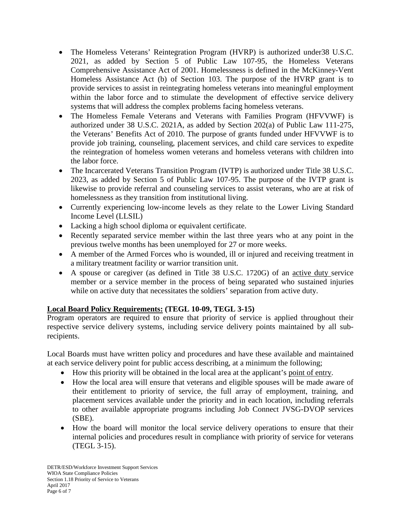- The Homeless Veterans' Reintegration Program (HVRP) is authorized under 38 U.S.C. 2021, as added by Section 5 of Public Law 107-95, the Homeless Veterans Comprehensive Assistance Act of 2001. Homelessness is defined in the McKinney-Vent Homeless Assistance Act (b) of Section 103. The purpose of the HVRP grant is to provide services to assist in reintegrating homeless veterans into meaningful employment within the labor force and to stimulate the development of effective service delivery systems that will address the complex problems facing homeless veterans.
- The Homeless Female Veterans and Veterans with Families Program (HFVVWF) is authorized under 38 U.S.C. 2021A, as added by Section 202(a) of Public Law 111-275, the Veterans' Benefits Act of 2010. The purpose of grants funded under HFVVWF is to provide job training, counseling, placement services, and child care services to expedite the reintegration of homeless women veterans and homeless veterans with children into the labor force.
- The Incarcerated Veterans Transition Program (IVTP) is authorized under Title 38 U.S.C. 2023, as added by Section 5 of Public Law 107-95. The purpose of the IVTP grant is likewise to provide referral and counseling services to assist veterans, who are at risk of homelessness as they transition from institutional living.
- Currently experiencing low-income levels as they relate to the Lower Living Standard Income Level (LLSIL)
- Lacking a high school diploma or equivalent certificate.
- Recently separated service member within the last three years who at any point in the previous twelve months has been unemployed for 27 or more weeks.
- A member of the Armed Forces who is wounded, ill or injured and receiving treatment in a military treatment facility or warrior transition unit.
- A spouse or caregiver (as defined in Title 38 U.S.C. 1720G) of an active duty service member or a service member in the process of being separated who sustained injuries while on active duty that necessitates the soldiers' separation from active duty.

# **Local Board Policy Requirements: (TEGL 10-09, TEGL 3-15)**

Program operators are required to ensure that priority of service is applied throughout their respective service delivery systems, including service delivery points maintained by all subrecipients.

Local Boards must have written policy and procedures and have these available and maintained at each service delivery point for public access describing, at a minimum the following;

- How this priority will be obtained in the local area at the applicant's point of entry.
- How the local area will ensure that veterans and eligible spouses will be made aware of their entitlement to priority of service, the full array of employment, training, and placement services available under the priority and in each location, including referrals to other available appropriate programs including Job Connect JVSG-DVOP services (SBE).
- How the board will monitor the local service delivery operations to ensure that their internal policies and procedures result in compliance with priority of service for veterans (TEGL 3-15).